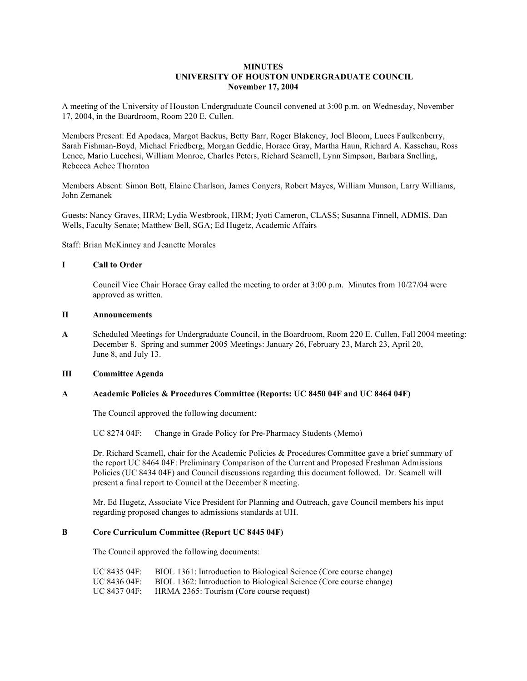# **MINUTES UNIVERSITY OF HOUSTON UNDERGRADUATE COUNCIL November 17, 2004**

A meeting of the University of Houston Undergraduate Council convened at 3:00 p.m. on Wednesday, November 17, 2004, in the Boardroom, Room 220 E. Cullen.

Members Present: Ed Apodaca, Margot Backus, Betty Barr, Roger Blakeney, Joel Bloom, Luces Faulkenberry, Sarah Fishman-Boyd, Michael Friedberg, Morgan Geddie, Horace Gray, Martha Haun, Richard A. Kasschau, Ross Lence, Mario Lucchesi, William Monroe, Charles Peters, Richard Scamell, Lynn Simpson, Barbara Snelling, Rebecca Achee Thornton

Members Absent: Simon Bott, Elaine Charlson, James Conyers, Robert Mayes, William Munson, Larry Williams, John Zemanek

Guests: Nancy Graves, HRM; Lydia Westbrook, HRM; Jyoti Cameron, CLASS; Susanna Finnell, ADMIS, Dan Wells, Faculty Senate; Matthew Bell, SGA; Ed Hugetz, Academic Affairs

Staff: Brian McKinney and Jeanette Morales

## **I Call to Order**

Council Vice Chair Horace Gray called the meeting to order at 3:00 p.m. Minutes from 10/27/04 were approved as written.

## **II Announcements**

**A** Scheduled Meetings for Undergraduate Council, in the Boardroom, Room 220 E. Cullen, Fall 2004 meeting: December 8. Spring and summer 2005 Meetings: January 26, February 23, March 23, April 20, June 8, and July 13.

# **III Committee Agenda**

#### **A Academic Policies & Procedures Committee (Reports: UC 8450 04F and UC 8464 04F)**

The Council approved the following document:

UC 8274 04F: Change in Grade Policy for Pre-Pharmacy Students (Memo)

Dr. Richard Scamell, chair for the Academic Policies & Procedures Committee gave a brief summary of the report UC 8464 04F: Preliminary Comparison of the Current and Proposed Freshman Admissions Policies (UC 8434 04F) and Council discussions regarding this document followed. Dr. Scamell will present a final report to Council at the December 8 meeting.

Mr. Ed Hugetz, Associate Vice President for Planning and Outreach, gave Council members his input regarding proposed changes to admissions standards at UH.

## **B Core Curriculum Committee (Report UC 8445 04F)**

The Council approved the following documents:

| UC 8435 04F: | BIOL 1361: Introduction to Biological Science (Core course change) |
|--------------|--------------------------------------------------------------------|
| UC 8436 04F: | BIOL 1362: Introduction to Biological Science (Core course change) |
| UC 8437 04F: | HRMA 2365: Tourism (Core course request)                           |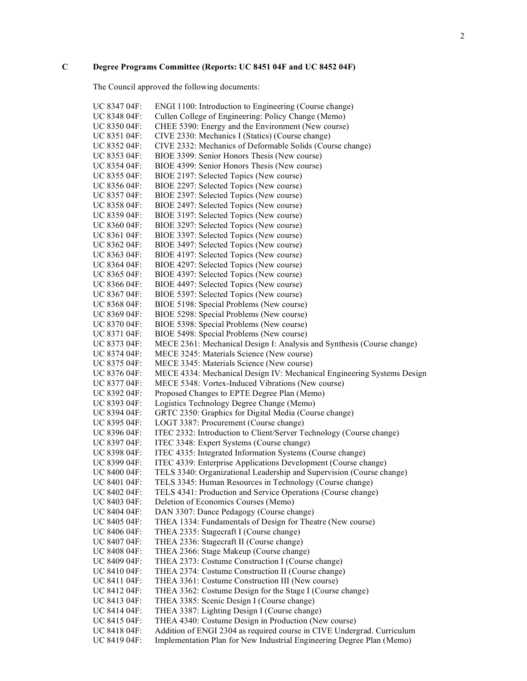# **C Degree Programs Committee (Reports: UC 8451 04F and UC 8452 04F)**

The Council approved the following documents:

| UC 8347 04F: | ENGI 1100: Introduction to Engineering (Course change)                 |
|--------------|------------------------------------------------------------------------|
| UC 8348 04F: | Cullen College of Engineering: Policy Change (Memo)                    |
| UC 8350 04F: | CHEE 5390: Energy and the Environment (New course)                     |
| UC 8351 04F: | CIVE 2330: Mechanics I (Statics) (Course change)                       |
| UC 8352 04F: | CIVE 2332: Mechanics of Deformable Solids (Course change)              |
| UC 8353 04F: | BIOE 3399: Senior Honors Thesis (New course)                           |
| UC 8354 04F: | BIOE 4399: Senior Honors Thesis (New course)                           |
| UC 8355 04F: | BIOE 2197: Selected Topics (New course)                                |
| UC 8356 04F: | BIOE 2297: Selected Topics (New course)                                |
| UC 8357 04F: | BIOE 2397: Selected Topics (New course)                                |
| UC 8358 04F: | BIOE 2497: Selected Topics (New course)                                |
| UC 8359 04F: | BIOE 3197: Selected Topics (New course)                                |
| UC 8360 04F: | BIOE 3297: Selected Topics (New course)                                |
| UC 8361 04F: | BIOE 3397: Selected Topics (New course)                                |
| UC 8362 04F: | BIOE 3497: Selected Topics (New course)                                |
| UC 8363 04F: | BIOE 4197: Selected Topics (New course)                                |
| UC 8364 04F: | BIOE 4297: Selected Topics (New course)                                |
| UC 8365 04F: | BIOE 4397: Selected Topics (New course)                                |
| UC 8366 04F: | BIOE 4497: Selected Topics (New course)                                |
| UC 8367 04F: | BIOE 5397: Selected Topics (New course)                                |
| UC 8368 04F: | BIOE 5198: Special Problems (New course)                               |
| UC 8369 04F: | BIOE 5298: Special Problems (New course)                               |
| UC 8370 04F: | BIOE 5398: Special Problems (New course)                               |
| UC 8371 04F: | BIOE 5498: Special Problems (New course)                               |
| UC 8373 04F: | MECE 2361: Mechanical Design I: Analysis and Synthesis (Course change) |
| UC 8374 04F: | MECE 3245: Materials Science (New course)                              |
| UC 8375 04F: | MECE 3345: Materials Science (New course)                              |
| UC 8376 04F: | MECE 4334: Mechanical Design IV: Mechanical Engineering Systems Design |
| UC 8377 04F: | MECE 5348: Vortex-Induced Vibrations (New course)                      |
| UC 8392 04F: | Proposed Changes to EPTE Degree Plan (Memo)                            |
| UC 8393 04F: | Logistics Technology Degree Change (Memo)                              |
| UC 8394 04F: | GRTC 2350: Graphics for Digital Media (Course change)                  |
| UC 8395 04F: | LOGT 3387: Procurement (Course change)                                 |
| UC 8396 04F: | ITEC 2332: Introduction to Client/Server Technology (Course change)    |
| UC 8397 04F: | ITEC 3348: Expert Systems (Course change)                              |
| UC 8398 04F: | ITEC 4335: Integrated Information Systems (Course change)              |
| UC 8399 04F: | ITEC 4339: Enterprise Applications Development (Course change)         |
| UC 8400 04F: | TELS 3340: Organizational Leadership and Supervision (Course change)   |
| UC 8401 04F: | TELS 3345: Human Resources in Technology (Course change)               |
| UC 8402 04F: | TELS 4341: Production and Service Operations (Course change)           |
| UC 8403 04F: | Deletion of Economics Courses (Memo)                                   |
| UC 8404 04F: | DAN 3307: Dance Pedagogy (Course change)                               |
| UC 8405 04F: | THEA 1334: Fundamentals of Design for Theatre (New course)             |
| UC 8406 04F: | THEA 2335: Stagecraft I (Course change)                                |
| UC 8407 04F: | THEA 2336: Stagecraft II (Course change)                               |
| UC 8408 04F: | THEA 2366: Stage Makeup (Course change)                                |
| UC 8409 04F: | THEA 2373: Costume Construction I (Course change)                      |
| UC 8410 04F: | THEA 2374: Costume Construction II (Course change)                     |
| UC 8411 04F: | THEA 3361: Costume Construction III (New course)                       |
| UC 8412 04F: | THEA 3362: Costume Design for the Stage I (Course change)              |
| UC 8413 04F: | THEA 3385: Scenic Design I (Course change)                             |
| UC 8414 04F: | THEA 3387: Lighting Design I (Course change)                           |
| UC 8415 04F: | THEA 4340: Costume Design in Production (New course)                   |
| UC 8418 04F: | Addition of ENGI 2304 as required course in CIVE Undergrad. Curriculum |
| UC 8419 04F: | Implementation Plan for New Industrial Engineering Degree Plan (Memo)  |